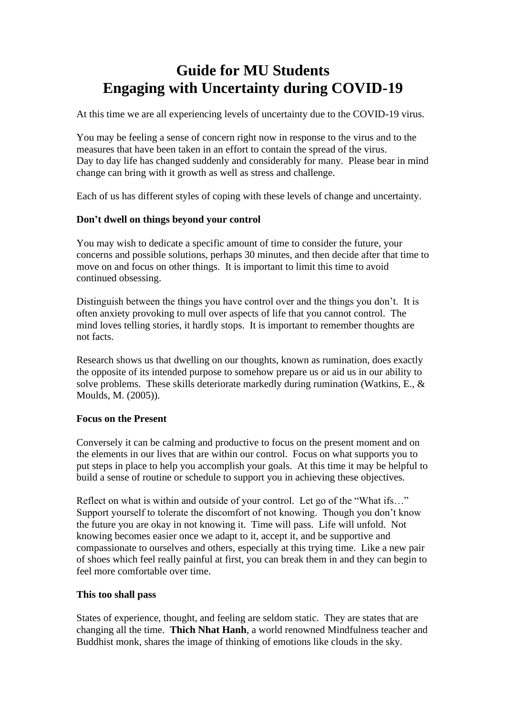# **Guide for MU Students Engaging with Uncertainty during COVID-19**

At this time we are all experiencing levels of uncertainty due to the COVID-19 virus.

You may be feeling a sense of concern right now in response to the virus and to the measures that have been taken in an effort to contain the spread of the virus. Day to day life has changed suddenly and considerably for many. Please bear in mind change can bring with it growth as well as stress and challenge.

Each of us has different styles of coping with these levels of change and uncertainty.

# **Don't dwell on things beyond your control**

You may wish to dedicate a specific amount of time to consider the future, your concerns and possible solutions, perhaps 30 minutes, and then decide after that time to move on and focus on other things. It is important to limit this time to avoid continued obsessing.

Distinguish between the things you have control over and the things you don't. It is often anxiety provoking to mull over aspects of life that you cannot control. The mind loves telling stories, it hardly stops. It is important to remember thoughts are not facts.

Research shows us that dwelling on our thoughts, known as rumination, does exactly the opposite of its intended purpose to somehow prepare us or aid us in our ability to solve problems. These skills deteriorate markedly during rumination (Watkins, E., & Moulds, M. (2005)).

#### **Focus on the Present**

Conversely it can be calming and productive to focus on the present moment and on the elements in our lives that are within our control. Focus on what supports you to put steps in place to help you accomplish your goals. At this time it may be helpful to build a sense of routine or schedule to support you in achieving these objectives.

Reflect on what is within and outside of your control. Let go of the "What ifs..." Support yourself to tolerate the discomfort of not knowing. Though you don't know the future you are okay in not knowing it. Time will pass. Life will unfold. Not knowing becomes easier once we adapt to it, accept it, and be supportive and compassionate to ourselves and others, especially at this trying time. Like a new pair of shoes which feel really painful at first, you can break them in and they can begin to feel more comfortable over time.

#### **This too shall pass**

States of experience, thought, and feeling are seldom static. They are states that are changing all the time. **Thich Nhat Hanh**, a world renowned Mindfulness teacher and Buddhist monk, shares the image of thinking of emotions like clouds in the sky.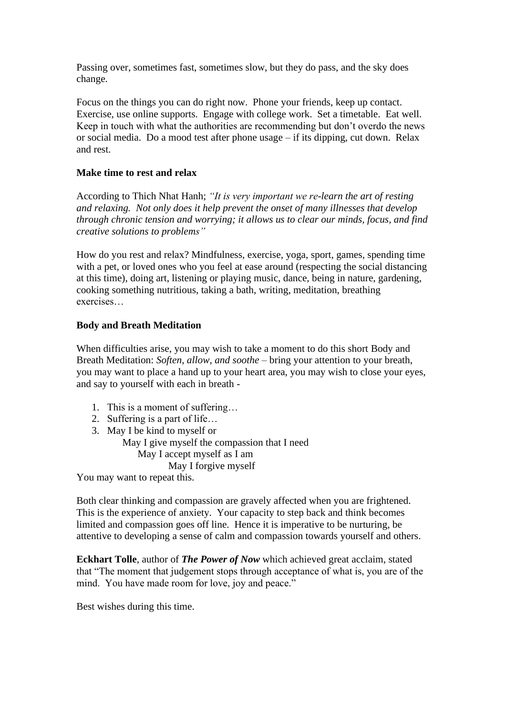Passing over, sometimes fast, sometimes slow, but they do pass, and the sky does change.

Focus on the things you can do right now. Phone your friends, keep up contact. Exercise, use online supports. Engage with college work. Set a timetable. Eat well. Keep in touch with what the authorities are recommending but don't overdo the news or social media. Do a mood test after phone usage – if its dipping, cut down. Relax and rest.

# **Make time to rest and relax**

According to Thich Nhat Hanh; *"It is very important we re-learn the art of resting and relaxing. Not only does it help prevent the onset of many illnesses that develop through chronic tension and worrying; it allows us to clear our minds, focus, and find creative solutions to problems"*

How do you rest and relax? Mindfulness, exercise, yoga, sport, games, spending time with a pet, or loved ones who you feel at ease around (respecting the social distancing at this time), doing art, listening or playing music, dance, being in nature, gardening, cooking something nutritious, taking a bath, writing, meditation, breathing exercises…

# **Body and Breath Meditation**

When difficulties arise, you may wish to take a moment to do this short Body and Breath Meditation: *Soften, allow, and soothe –* bring your attention to your breath, you may want to place a hand up to your heart area, you may wish to close your eyes, and say to yourself with each in breath -

- 1. This is a moment of suffering…
- 2. Suffering is a part of life…

3. May I be kind to myself or May I give myself the compassion that I need May I accept myself as I am May I forgive myself You may want to repeat this.

Both clear thinking and compassion are gravely affected when you are frightened. This is the experience of anxiety. Your capacity to step back and think becomes limited and compassion goes off line. Hence it is imperative to be nurturing, be attentive to developing a sense of calm and compassion towards yourself and others.

**Eckhart Tolle**, author of *The Power of Now* which achieved great acclaim, stated that "The moment that judgement stops through acceptance of what is, you are of the mind. You have made room for love, joy and peace."

Best wishes during this time.